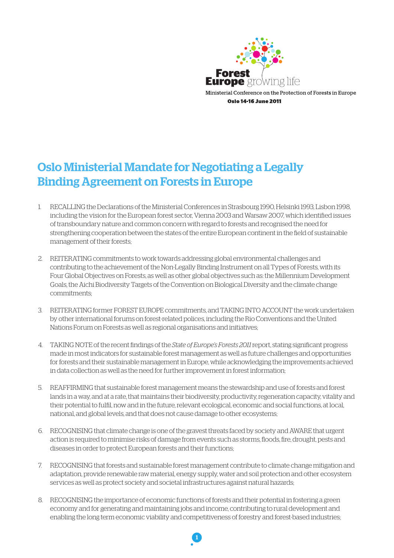

# Oslo Ministerial Mandate for Negotiating a Legally Binding Agreement on Forests in Europe

- 1. RECALLING the Declarations of the Ministerial Conferences in Strasbourg 1990, Helsinki 1993, Lisbon 1998, including the vision for the European forest sector, Vienna 2003 and Warsaw 2007, which identified issues of transboundary nature and common concern with regard to forests and recognised the need for strengthening cooperation between the states of the entire European continent in the field of sustainable management of their forests;
- 2. REITERATING commitments to work towards addressing global environmental challenges and contributing to the achievement of the Non-Legally Binding Instrument on all Types of Forests, with its Four Global Objectives on Forests, as well as other global objectives such as: the Millennium Development Goals, the Aichi Biodiversity Targets of the Convention on Biological Diversity and the climate change commitments;
- 3. REITERATING former FOREST EUROPE commitments, and TAKING INTO ACCOUNT the work undertaken by other international forums on forest-related polices, including the Rio Conventions and the United Nations Forum on Forests as well as regional organisations and initiatives;
- 4. TAKING NOTE of the recent findings of the *State of Europe's Forests 2011* report, stating significant progress made in most indicators for sustainable forest management as well as future challenges and opportunities for forests and their sustainable management in Europe, while acknowledging the improvements achieved in data collection as well as the need for further improvement in forest information;
- 5. REAFFIRMING that sustainable forest management means the stewardship and use of forests and forest lands in a way, and at a rate, that maintains their biodiversity, productivity, regeneration capacity, vitality and their potential to fulfil, now and in the future, relevant ecological, economic and social functions, at local, national, and global levels, and that does not cause damage to other ecosystems;
- 6. RECOGNISING that climate change is one of the gravest threats faced by society and AWARE that urgent action is required to minimise risks of damage from events such as storms, floods, fire, drought, pests and diseases in order to protect European forests and their functions;
- 7. RECOGNISING that forests and sustainable forest management contribute to climate change mitigation and adaptation, provide renewable raw material, energy supply, water and soil protection and other ecosystem services as well as protect society and societal infrastructures against natural hazards;
- 8. RECOGNISING the importance of economic functions of forests and their potential in fostering a green economy and for generating and maintaining jobs and income, contributing to rural development and enabling the long term economic viability and competitiveness of forestry and forest-based industries;

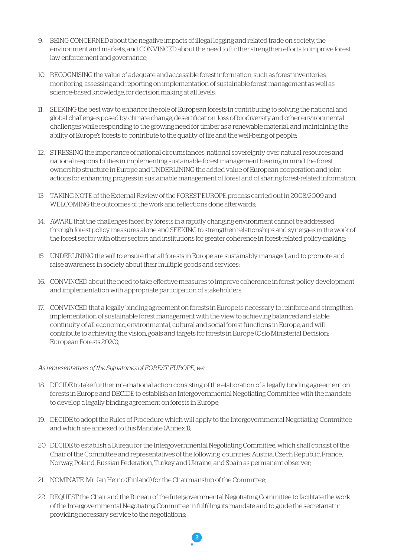- 9. BEING CONCERNED about the negative impacts of illegal logging and related trade on society, the environment and markets, and CONVINCED about the need to further strengthen efforts to improve forest law enforcement and governance;
- 10. RECOGNISING the value of adequate and accessible forest information, such as forest inventories, monitoring, assessing and reporting on implementation of sustainable forest management as well as science-based knowledge, for decision making at all levels;
- 11. SEEKING the best way to enhance the role of European forests in contributing to solving the national and global challenges posed by climate change, desertification, loss of biodiversity and other environmental challenges while responding to the growing need for timber as a renewable material, and maintaining the ability of Europe's forests to contribute to the quality of life and the well-being of people;
- 12. STRESSING the importance of national circumstances, national sovereignty over natural resources and national responsibilities in implementing sustainable forest management bearing in mind the forest ownership structure in Europe and UNDERLINING the added value of European cooperation and joint actions for enhancing progress in sustainable management of forest and of sharing forest-related information;
- 13. TAKING NOTE of the External Review of the FOREST EUROPE process carried out in 2008/2009 and WELCOMING the outcomes of the work and reflections done afterwards:
- 14. AWARE that the challenges faced by forests in a rapidly changing environment cannot be addressed through forest policy measures alone and SEEKING to strengthen relationships and synergies in the work of the forest sector with other sectors and institutions for greater coherence in forest-related policy-making;
- 15. UNDERLINING the will to ensure that all forests in Europe are sustainably managed, and to promote and raise awareness in society about their multiple goods and services;
- 16. CONVINCED about the need to take effective measures to improve coherence in forest policy development and implementation with appropriate participation of stakeholders;
- 17. CONVINCED that a legally binding agreement on forests in Europe is necessary to reinforce and strengthen implementation of sustainable forest management with the view to achieving balanced and stable continuity of all economic, environmental, cultural and social forest functions in Europe, and will contribute to achieving the vision, goals and targets for forests in Europe (Oslo Ministerial Decision: European Forests 2020);

#### *As representatives of the Signatories of FOREST EUROPE, we*

- 18. DECIDE to take further international action consisting of the elaboration of a legally binding agreement on forests in Europe and DECIDE to establish an Intergovernmental Negotiating Committee with the mandate to develop a legally binding agreement on forests in Europe;
- 19. DECIDE to adopt the Rules of Procedure which will apply to the Intergovernmental Negotiating Committee and which are annexed to this Mandate (Annex 1);
- 20. DECIDE to establish a Bureau for the Intergovernmental Negotiating Committee, which shall consist of the Chair of the Committee and representatives of the following countries: Austria, Czech Republic, France, Norway, Poland, Russian Federation, Turkey and Ukraine, and Spain as permanent observer;
- 21. NOMINATE Mr. Jan Heino (Finland) for the Chairmanship of the Committee;
- 22. REQUEST the Chair and the Bureau of the Intergovernmental Negotiating Committee to facilitate the work of the Intergovernmental Negotiating Committee in fulfilling its mandate and to guide the secretariat in providing necessary service to the negotiations;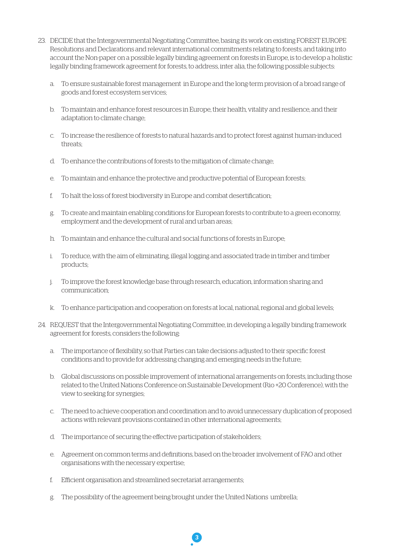- 23. DECIDE that the Intergovernmental Negotiating Committee, basing its work on existing FOREST EUROPE Resolutions and Declarations and relevant international commitments relating to forests, and taking into account the Non-paper on a possible legally binding agreement on forests in Europe, is to develop a holistic legally binding framework agreement for forests, to address, inter alia, the following possible subjects:
	- a. To ensure sustainable forest management in Europe and the long-term provision of a broad range of goods and forest ecosystem services;
	- b. To maintain and enhance forest resources in Europe, their health, vitality and resilience, and their adaptation to climate change;
	- c. To increase the resilience of forests to natural hazards and to protect forest against human-induced threats;
	- d. To enhance the contributions of forests to the mitigation of climate change;
	- e. To maintain and enhance the protective and productive potential of European forests;
	- f. To halt the loss of forest biodiversity in Europe and combat desertification;
	- g. To create and maintain enabling conditions for European forests to contribute to a green economy, employment and the development of rural and urban areas;
	- h. To maintain and enhance the cultural and social functions of forests in Europe;
	- i. To reduce, with the aim of eliminating, illegal logging and associated trade in timber and timber products;
	- j. To improve the forest knowledge base through research, education, information sharing and communication;
	- k. To enhance participation and cooperation on forests at local, national, regional and global levels;
- 24. REQUEST that the Intergovernmental Negotiating Committee, in developing a legally binding framework agreement for forests, considers the following:
	- a. The importance of flexibility, so that Parties can take decisions adjusted to their specific forest conditions and to provide for addressing changing and emerging needs in the future;
	- b. Global discussions on possible improvement of international arrangements on forests, including those related to the United Nations Conference on Sustainable Development (Rio +20 Conference), with the view to seeking for synergies;
	- c. The need to achieve cooperation and coordination and to avoid unnecessary duplication of proposed actions with relevant provisions contained in other international agreements;
	- d. The importance of securing the effective participation of stakeholders;
	- e. Agreement on common terms and definitions, based on the broader involvement of FAO and other organisations with the necessary expertise;

- f. Efficient organisation and streamlined secretariat arrangements;
- g. The possibility of the agreement being brought under the United Nations umbrella;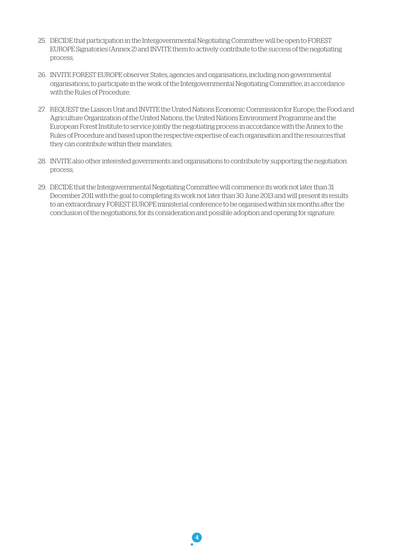- 25. DECIDE that participation in the Intergovernmental Negotiating Committee will be open to FOREST EUROPE Signatories (Annex 2) and INVITE them to actively contribute to the success of the negotiating process;
- 26. INVITE FOREST EUROPE observer States, agencies and organisations, including non-governmental organisations, to participate in the work of the Intergovernmental Negotiating Committee, in accordance with the Rules of Procedure;
- 27. REQUEST the Liaison Unit and INVITE the United Nations Economic Commission for Europe, the Food and Agriculture Organization of the United Nations, the United Nations Environment Programme and the European Forest Institute to service jointly the negotiating process in accordance with the Annex to the Rules of Procedure and based upon the respective expertise of each organisation and the resources that they can contribute within their mandates;
- 28. INVITE also other interested governments and organisations to contribute by supporting the negotiation process;
- 29. DECIDE that the Intergovernmental Negotiating Committee will commence its work not later than 31 December 2011 with the goal to completing its work not later than 30 June 2013 and will present its results to an extraordinary FOREST EUROPE ministerial conference to be organised within six months after the conclusion of the negotiations, for its consideration and possible adoption and opening for signature.

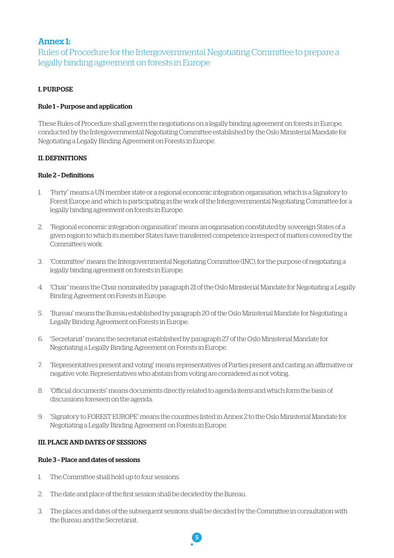# Annex 1:

Rules of Procedure for the Intergovernmental Negotiating Committee to prepare a legally binding agreement on forests in Europe

# I. PURPOSE

# Rule 1 – Purpose and application

These Rules of Procedure shall govern the negotiations on a legally binding agreement on forests in Europe, conducted by the Intergovernmental Negotiating Committee established by the Oslo Ministerial Mandate for Negotiating a Legally Binding Agreement on Forests in Europe.

# II. DEFINITIONS

# Rule 2 – Definitions

- 1. "Party" means a UN member state or a regional economic integration organisation, which is a Signatory to Forest Europe and which is participating in the work of the Intergovernmental Negotiating Committee for a legally binding agreement on forests in Europe.
- 2. "Regional economic integration organisation" means an organisation constituted by sovereign States of a given region to which its member States have transferred competence in respect of matters covered by the Committee's work.
- 3. "Committee" means the Intergovernmental Negotiating Committee (INC), for the purpose of negotiating a legally binding agreement on forests in Europe.
- 4. "Chair" means the Chair nominated by paragraph 21 of the Oslo Ministerial Mandate for Negotiating a Legally Binding Agreement on Forests in Europe.
- 5. "Bureau" means the Bureau established by paragraph 20 of the Oslo Ministerial Mandate for Negotiating a Legally Binding Agreement on Forests in Europe.
- 6. "Secretariat" means the secretariat established by paragraph 27 of the Oslo Ministerial Mandate for Negotiating a Legally Binding Agreement on Forests in Europe.
- 7. "Representatives present and voting" means representatives of Parties present and casting an affirmative or negative vote. Representatives who abstain from voting are considered as not voting.
- 8. "Official documents" means documents directly related to agenda items and which form the basis of discussions foreseen on the agenda.
- 9. "Signatory to FOREST EUROPE" means the countries listed in Annex 2 to the Oslo Ministerial Mandate for Negotiating a Legally Binding Agreement on Forests in Europe.

#### III. PLACE AND DATES OF SESSIONS

## Rule 3 – Place and dates of sessions

- 1. The Committee shall hold up to four sessions.
- 2. The date and place of the first session shall be decided by the Bureau.
- 3. The places and dates of the subsequent sessions shall be decided by the Committee in consultation with the Bureau and the Secretariat.

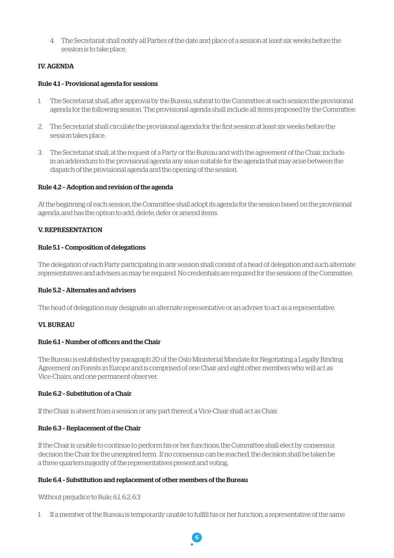4. The Secretariat shall notify all Parties of the date and place of a session at least six weeks before the session is to take place.

# IV. AGENDA

## Rule 4.1 – Provisional agenda for sessions

- 1. The Secretariat shall, after approval by the Bureau, submit to the Committee at each session the provisional agenda for the following session. The provisional agenda shall include all items proposed by the Committee.
- 2. The Secretariat shall circulate the provisional agenda for the first session at least six weeks before the session takes place.
- 3. The Secretariat shall, at the request of a Party or the Bureau and with the agreement of the Chair, include in an addendum to the provisional agenda any issue suitable for the agenda that may arise between the dispatch of the provisional agenda and the opening of the session.

# Rule 4.2 – Adoption and revision of the agenda

At the beginning of each session, the Committee shall adopt its agenda for the session based on the provisional agenda, and has the option to add, delete, defer or amend items.

# V. REPRESENTATION

#### Rule 5.1 – Composition of delegations

The delegation of each Party participating in any session shall consist of a head of delegation and such alternate representatives and advisers as may be required. No credentials are required for the sessions of the Committee.

#### Rule 5.2 – Alternates and advisers

The head of delegation may designate an alternate representative or an adviser to act as a representative.

#### VI. BUREAU

#### Rule 6.1 – Number of officers and the Chair

The Bureau is established by paragraph 20 of the Oslo Ministerial Mandate for Negotiating a Legally Binding Agreement on Forests in Europe and is comprised of one Chair and eight other members who will act as Vice-Chairs, and one permanent observer.

#### Rule 6.2 – Substitution of a Chair

If the Chair is absent from a session or any part thereof, a Vice-Chair shall act as Chair.

# Rule 6.3 – Replacement of the Chair

If the Chair is unable to continue to perform his or her functions, the Committee shall elect by consensus decision the Chair for the unexpired term. If no consensus can be reached, the decision shall be taken be a three-quarters majority of the representatives present and voting.

#### Rule 6.4 – Substitution and replacement of other members of the Bureau

Without prejudice to Rule, 6.1, 6.2, 6.3

1. If a member of the Bureau is temporarily unable to fulfill his or her function, a representative of the same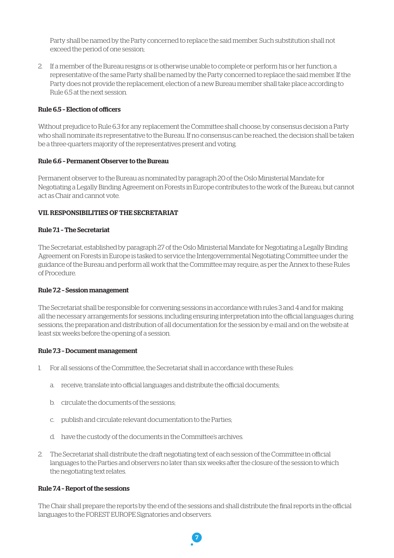Party shall be named by the Party concerned to replace the said member. Such substitution shall not exceed the period of one session;

2. If a member of the Bureau resigns or is otherwise unable to complete or perform his or her function, a representative of the same Party shall be named by the Party concerned to replace the said member. If the Party does not provide the replacement, election of a new Bureau member shall take place according to Rule 6.5 at the next session.

#### Rule 6.5 – Election of officers

Without prejudice to Rule 6.3 for any replacement the Committee shall choose, by consensus decision a Party who shall nominate its representative to the Bureau. If no consensus can be reached, the decision shall be taken be a three-quarters majority of the representatives present and voting.

#### Rule 6.6 – Permanent Observer to the Bureau

Permanent observer to the Bureau as nominated by paragraph 20 of the Oslo Ministerial Mandate for Negotiating a Legally Binding Agreement on Forests in Europe contributes to the work of the Bureau, but cannot act as Chair and cannot vote.

#### VII. RESPONSIBILITIES OF THE SECRETARIAT

#### Rule 7.1 – The Secretariat

The Secretariat, established by paragraph 27 of the Oslo Ministerial Mandate for Negotiating a Legally Binding Agreement on Forests in Europe is tasked to service the Intergovernmental Negotiating Committee under the guidance of the Bureau and perform all work that the Committee may require, as per the Annex to these Rules of Procedure.

#### Rule 7.2 – Session management

The Secretariat shall be responsible for convening sessions in accordance with rules 3 and 4 and for making all the necessary arrangements for sessions, including ensuring interpretation into the official languages during sessions, the preparation and distribution of all documentation for the session by e-mail and on the website at least six weeks before the opening of a session.

#### Rule 7.3 – Document management

- 1. For all sessions of the Committee, the Secretariat shall in accordance with these Rules:
	- a. receive, translate into official languages and distribute the official documents;
	- b. circulate the documents of the sessions;
	- c. publish and circulate relevant documentation to the Parties;
	- d. have the custody of the documents in the Committee's archives.
- 2. The Secretariat shall distribute the draft negotiating text of each session of the Committee in official languages to the Parties and observers no later than six weeks after the closure of the session to which the negotiating text relates.

#### Rule 7.4 – Report of the sessions

The Chair shall prepare the reports by the end of the sessions and shall distribute the final reports in the official languages to the FOREST EUROPE Signatories and observers.

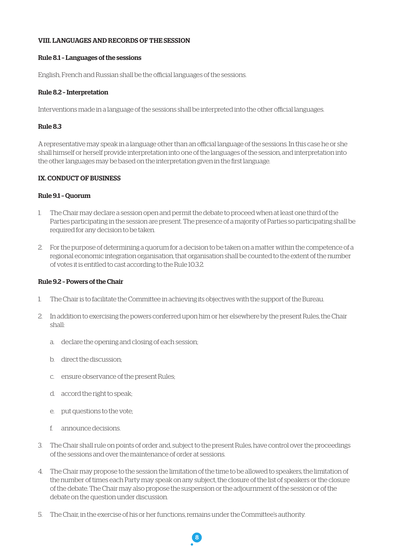#### VIII. LANGUAGES AND RECORDS OF THE SESSION

#### Rule 8.1 – Languages of the sessions

English, French and Russian shall be the official languages of the sessions.

#### Rule 8.2 – Interpretation

Interventions made in a language of the sessions shall be interpreted into the other official languages.

#### Rule 8.3

A representative may speak in a language other than an official language of the sessions. In this case he or she shall himself or herself provide interpretation into one of the languages of the session, and interpretation into the other languages may be based on the interpretation given in the first language.

#### IX. CONDUCT OF BUSINESS

#### Rule 9.1 – Quorum

- 1. The Chair may declare a session open and permit the debate to proceed when at least one third of the Parties participating in the session are present. The presence of a majority of Parties so participating shall be required for any decision to be taken.
- 2. For the purpose of determining a quorum for a decision to be taken on a matter within the competence of a regional economic integration organisation, that organisation shall be counted to the extent of the number of votes it is entitled to cast according to the Rule 10.3.2.

#### Rule 9.2 – Powers of the Chair

- 1. The Chair is to facilitate the Committee in achieving its objectives with the support of the Bureau.
- 2. In addition to exercising the powers conferred upon him or her elsewhere by the present Rules, the Chair shall:
	- a. declare the opening and closing of each session;
	- b. direct the discussion;
	- c. ensure observance of the present Rules;
	- d. accord the right to speak;
	- e. put questions to the vote;
	- f. announce decisions.
- 3. The Chair shall rule on points of order and, subject to the present Rules, have control over the proceedings of the sessions and over the maintenance of order at sessions.
- 4. The Chair may propose to the session the limitation of the time to be allowed to speakers, the limitation of the number of times each Party may speak on any subject, the closure of the list of speakers or the closure of the debate. The Chair may also propose the suspension or the adjournment of the session or of the debate on the question under discussion.
- 5. The Chair, in the exercise of his or her functions, remains under the Committee's authority.

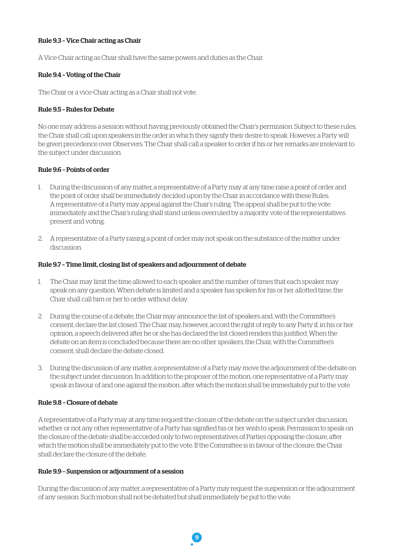#### Rule 9.3 – Vice Chair acting as Chair

A Vice-Chair acting as Chair shall have the same powers and duties as the Chair.

#### Rule 9.4 – Voting of the Chair

The Chair or a vice-Chair acting as a Chair shall not vote.

#### Rule 9.5 – Rules for Debate

No one may address a session without having previously obtained the Chair's permission. Subject to these rules, the Chair shall call upon speakers in the order in which they signify their desire to speak. However, a Party will be given precedence over Observers. The Chair shall call a speaker to order if his or her remarks are irrelevant to the subject under discussion.

#### Rule 9.6 – Points of order

- 1. During the discussion of any matter, a representative of a Party may at any time raise a point of order and the point of order shall be immediately decided upon by the Chair in accordance with these Rules. A representative of a Party may appeal against the Chair's ruling. The appeal shall be put to the vote immediately and the Chair's ruling shall stand unless overruled by a majority vote of the representatives present and voting.
- 2. A representative of a Party raising a point of order may not speak on the substance of the matter under discussion.

#### Rule 9.7 – Time limit, closing list of speakers and adjournment of debate

- 1. The Chair may limit the time allowed to each speaker and the number of times that each speaker may speak on any question. When debate is limited and a speaker has spoken for his or her allotted time, the Chair shall call him or her to order without delay.
- 2. During the course of a debate, the Chair may announce the list of speakers and, with the Committee's consent, declare the list closed. The Chair may, however, accord the right of reply to any Party if, in his or her opinion, a speech delivered after he or she has declared the list closed renders this justified. When the debate on an item is concluded because there are no other speakers, the Chair, with the Committee's consent, shall declare the debate closed.
- 3. During the discussion of any matter, a representative of a Party may move the adjournment of the debate on the subject under discussion. In addition to the proposer of the motion, one representative of a Party may speak in favour of and one against the motion, after which the motion shall be immediately put to the vote.

#### Rule 9.8 – Closure of debate

A representative of a Party may at any time request the closure of the debate on the subject under discussion, whether or not any other representative of a Party has signified his or her wish to speak. Permission to speak on the closure of the debate shall be accorded only to two representatives of Parties opposing the closure, after which the motion shall be immediately put to the vote. If the Committee is in favour of the closure, the Chair shall declare the closure of the debate.

#### Rule 9.9 – Suspension or adjournment of a session

During the discussion of any matter, a representative of a Party may request the suspension or the adjournment of any session. Such motion shall not be debated but shall immediately be put to the vote.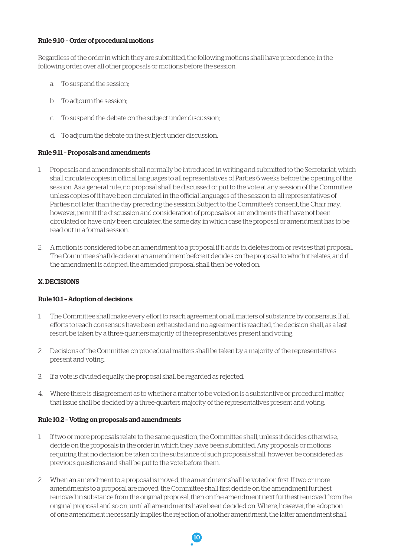#### Rule 9.10 – Order of procedural motions

Regardless of the order in which they are submitted, the following motions shall have precedence, in the following order, over all other proposals or motions before the session:

- a. To suspend the session;
- b. To adjourn the session;
- c. To suspend the debate on the subject under discussion;
- d. To adjourn the debate on the subject under discussion.

#### Rule 9.11 – Proposals and amendments

- 1. Proposals and amendments shall normally be introduced in writing and submitted to the Secretariat, which shall circulate copies in official languages to all representatives of Parties 6 weeks before the opening of the session. As a general rule, no proposal shall be discussed or put to the vote at any session of the Committee unless copies of it have been circulated in the official languages of the session to all representatives of Parties not later than the day preceding the session. Subject to the Committee's consent, the Chair may, however, permit the discussion and consideration of proposals or amendments that have not been circulated or have only been circulated the same day, in which case the proposal or amendment has to be read out in a formal session.
- 2. A motion is considered to be an amendment to a proposal if it adds to, deletes from or revises that proposal. The Committee shall decide on an amendment before it decides on the proposal to which it relates, and if the amendment is adopted, the amended proposal shall then be voted on.

#### X. DECISIONS

#### Rule 10.1 – Adoption of decisions

- 1. The Committee shall make every effort to reach agreement on all matters of substance by consensus. If all efforts to reach consensus have been exhausted and no agreement is reached, the decision shall, as a last resort, be taken by a three-quarters majority of the representatives present and voting.
- 2. Decisions of the Committee on procedural matters shall be taken by a majority of the representatives present and voting.
- 3. If a vote is divided equally, the proposal shall be regarded as rejected.
- 4. Where there is disagreement as to whether a matter to be voted on is a substantive or procedural matter, that issue shall be decided by a three-quarters majority of the representatives present and voting.

#### Rule 10.2 – Voting on proposals and amendments

- 1. If two or more proposals relate to the same question, the Committee shall, unless it decides otherwise, decide on the proposals in the order in which they have been submitted. Any proposals or motions requiring that no decision be taken on the substance of such proposals shall, however, be considered as previous questions and shall be put to the vote before them.
- 2. When an amendment to a proposal is moved, the amendment shall be voted on first. If two or more amendments to a proposal are moved, the Committee shall first decide on the amendment furthest removed in substance from the original proposal, then on the amendment next furthest removed from the original proposal and so on, until all amendments have been decided on. Where, however, the adoption of one amendment necessarily implies the rejection of another amendment, the latter amendment shall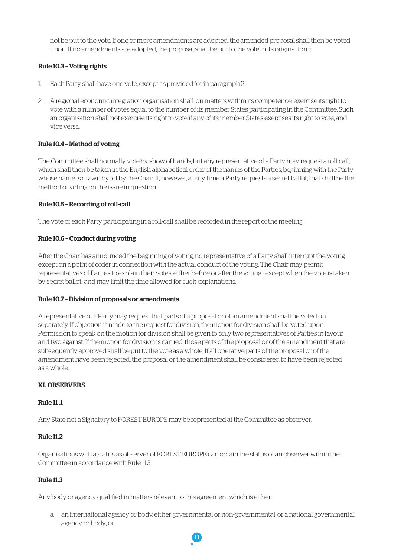not be put to the vote. If one or more amendments are adopted, the amended proposal shall then be voted upon. If no amendments are adopted, the proposal shall be put to the vote in its original form.

# Rule 10.3 – Voting rights

- 1. Each Party shall have one vote, except as provided for in paragraph 2.
- 2. A regional economic integration organisation shall, on matters within its competence, exercise its right to vote with a number of votes equal to the number of its member States participating in the Committee. Such an organisation shall not exercise its right to vote if any of its member States exercises its right to vote, and vice versa.

# Rule 10.4 – Method of voting

The Committee shall normally vote by show of hands, but any representative of a Party may request a roll-call, which shall then be taken in the English alphabetical order of the names of the Parties, beginning with the Party whose name is drawn by lot by the Chair. If, however, at any time a Party requests a secret ballot, that shall be the method of voting on the issue in question.

# Rule 10.5 – Recording of roll-call

The vote of each Party participating in a roll-call shall be recorded in the report of the meeting.

# Rule 10.6 – Conduct during voting

After the Chair has announced the beginning of voting, no representative of a Party shall interrupt the voting except on a point of order in connection with the actual conduct of the voting. The Chair may permit representatives of Parties to explain their votes, either before or after the voting - except when the vote is taken by secret ballot -and may limit the time allowed for such explanations.

#### Rule 10.7 – Division of proposals or amendments

A representative of a Party may request that parts of a proposal or of an amendment shall be voted on separately. If objection is made to the request for division, the motion for division shall be voted upon. Permission to speak on the motion for division shall be given to only two representatives of Parties in favour and two against. If the motion for division is carried, those parts of the proposal or of the amendment that are subsequently approved shall be put to the vote as a whole. If all operative parts of the proposal or of the amendment have been rejected, the proposal or the amendment shall be considered to have been rejected as a whole.

#### XI. OBSERVERS

#### Rule 11 .1

Any State not a Signatory to FOREST EUROPE may be represented at the Committee as observer.

# Rule 11.2

Organisations with a status as observer of FOREST EUROPE can obtain the status of an observer within the Committee in accordance with Rule 11.3.

# Rule 11.3

Any body or agency qualified in matters relevant to this agreement which is either:

a. an international agency or body, either governmental or non-governmental, or a national governmental agency or body; or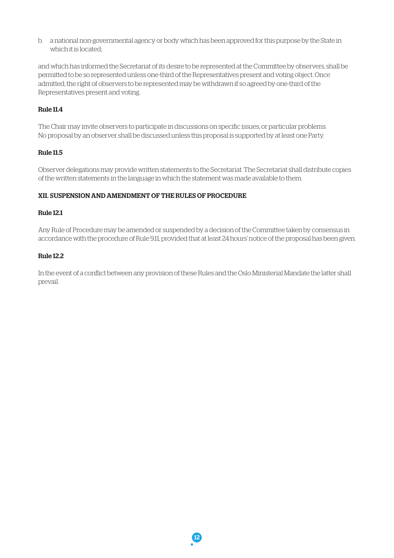b. a national non-governmental agency or body which has been approved for this purpose by the State in which it is located<sup>.</sup>

and which has informed the Secretariat of its desire to be represented at the Committee by observers, shall be permitted to be so represented unless one-third of the Representatives present and voting object. Once admitted, the right of observers to be represented may be withdrawn if so agreed by one-third of the Representatives present and voting.

# Rule 11.4

The Chair may invite observers to participate in discussions on specific issues, or particular problems. No proposal by an observer shall be discussed unless this proposal is supported by at least one Party.

#### Rule 11.5

Observer delegations may provide written statements to the Secretariat. The Secretariat shall distribute copies of the written statements in the language in which the statement was made available to them.

#### XII. SUSPENSION AND AMENDMENT OF THE RULES OF PROCEDURE

#### Rule 12.1

Any Rule of Procedure may be amended or suspended by a decision of the Committee taken by consensus in accordance with the procedure of Rule 9.11, provided that at least 24 hours' notice of the proposal has been given.

#### Rule 12.2

In the event of a conflict between any provision of these Rules and the Oslo Ministerial Mandate the latter shall prevail.

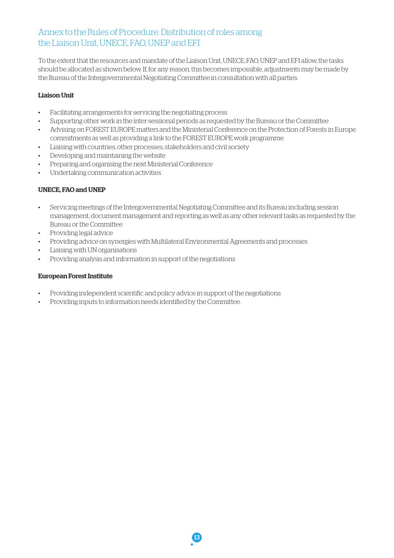# Annex to the Rules of Procedure: Distribution of roles among the Liaison Unit, UNECE, FAO, UNEP and EFI

To the extent that the resources and mandate of the Liaison Unit, UNECE, FAO, UNEP and EFI allow, the tasks should be allocated as shown below. If, for any reason, this becomes impossible, adjustments may be made by the Bureau of the Intergovernmental Negotiating Committee in consultation with all parties.

# Liaison Unit

- • Facilitating arrangements for servicing the negotiating process
- Supporting other work in the inter-sessional periods as requested by the Bureau or the Committee
- Advising on FOREST EUROPE matters and the Ministerial Conference on the Protection of Forests in Europe commitments as well as providing a link to the FOREST EUROPE work programme
- • Liaising with countries, other processes, stakeholders and civil society
- • Developing and maintaining the website
- Preparing and organising the next Ministerial Conference
- • Undertaking communication activities

# UNECE, FAO and UNEP

- • Servicing meetings of the Intergovernmental Negotiating Committee and its Bureau including session management, document management and reporting as well as any other relevant tasks as requested by the Bureau or the Committee
- • Providing legal advice
- • Providing advice on synergies with Multilateral Environmental Agreements and processes
- • Liaising with UN organisations
- • Providing analysis and information in support of the negotiations

#### European Forest Institute

- • Providing independent scientific and policy advice in support of the negotiations
- • Providing inputs to information needs identified by the Committee.